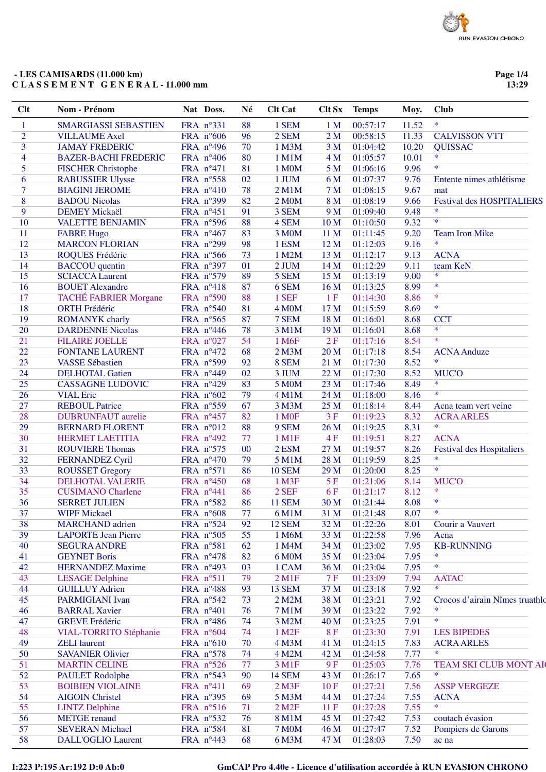### - LES CAMISARDS (11.000 km) CLASSEMENT GENERAL-11.000 mm

Page 1/4 13:29

| Clt            | Nom - Prénom                 | Nat Doss.          | Né | <b>Clt Cat</b>         | <b>Clt Sx</b>   | <b>Temps</b> | Moy.  | <b>Club</b>                      |
|----------------|------------------------------|--------------------|----|------------------------|-----------------|--------------|-------|----------------------------------|
| $\mathbf{1}$   | <b>SMARGIASSI SEBASTIEN</b>  | FRA nº331          | 88 | 1 SEM                  | 1 <sub>M</sub>  | 00:57:17     | 11.52 | $\ast$                           |
| $\overline{2}$ | <b>VILLAUME</b> Axel         | FRA $n^{\circ}606$ | 96 | 2 SEM                  | 2 <sub>M</sub>  | 00:58:15     | 11.33 | <b>CALVISSON VTT</b>             |
| 3              | <b>JAMAY FREDERIC</b>        | FRA n°496          | 70 | 1 M3M                  | 3 <sub>M</sub>  | 01:04:42     | 10.20 | <b>QUISSAC</b>                   |
| 4              | <b>BAZER-BACHI FREDERIC</b>  | FRA $n^{\circ}406$ | 80 | 1 M1M                  | 4 M             | 01:05:57     | 10.01 | $\ast$                           |
| 5              | <b>FISCHER Christophe</b>    | FRA n°471          | 81 | 1 M0M                  | 5 <sub>M</sub>  | 01:06:16     | 9.96  | $\ast$                           |
| 6              | <b>RABUSSIER Ulysse</b>      | FRA nº558          | 02 | 1 JUM                  | 6 M             | 01:07:37     | 9.76  | Entente nimes athlétisme         |
| $\overline{7}$ | <b>BIAGINI JEROME</b>        | FRA n°410          | 78 | $2$ M $1$ M            | 7 <sub>M</sub>  | 01:08:15     | 9.67  | mat                              |
| 8              | <b>BADOU</b> Nicolas         | FRA n°399          | 82 | 2 M0M                  | 8 M             | 01:08:19     | 9.66  | <b>Festival des HOSPITALIERS</b> |
| 9              | <b>DEMEY Mickaël</b>         | FRA n°451          | 91 | 3 SEM                  | 9 M             | 01:09:40     | 9.48  | $\ast$                           |
| 10             | <b>VALETTE BENJAMIN</b>      | FRA n°596          | 88 | 4 SEM                  | 10 <sub>M</sub> | 01:10:50     | 9.32  | $\ast$                           |
| 11             | <b>FABRE Hugo</b>            | FRA n°467          | 83 | 3 M0M                  | 11 M            | 01:11:45     | 9.20  | <b>Team Iron Mike</b>            |
| 12             | <b>MARCON FLORIAN</b>        | FRA n°299          | 98 | 1 ESM                  | 12 M            | 01:12:03     | 9.16  | $\ast$                           |
| 13             | ROQUES Frédéric              | FRA n°566          | 73 | 1 M2M                  | 13 M            | 01:12:17     | 9.13  | <b>ACNA</b>                      |
| 14             | <b>BACCOU</b> quentin        | FRA n°397          | 01 | 2 JUM                  | 14 M            | 01:12:29     | 9.11  | team KeN                         |
| 15             | <b>SCIACCA Laurent</b>       | FRA n°579          | 89 | 5 SEM                  | 15 M            | 01:13:19     | 9.00  | $\ast$                           |
| 16             | <b>BOUET</b> Alexandre       | FRA n°418          | 87 | 6 SEM                  | 16 M            | 01:13:25     | 8.99  | $\ast$                           |
| 17             | <b>TACHÉ FABRIER Morgane</b> | FRA n°590          | 88 | 1 SEF                  | 1F              | 01:14:30     | 8.86  | $\ast$                           |
| 18             | <b>ORTH Frédéric</b>         | FRA n°540          | 81 | 4 M <sub>0</sub> M     | 17 M            | 01:15:59     | 8.69  | $\ast$                           |
| 19             | <b>ROMANYK</b> charly        | FRA n°565          | 87 | 7 SEM                  | 18 M            | 01:16:01     | 8.68  | <b>CCT</b>                       |
| 20             | <b>DARDENNE Nicolas</b>      | FRA n°446          | 78 | 3 M1M                  | 19 <sub>M</sub> | 01:16:01     | 8.68  | $\ast$                           |
| 21             | <b>FILAIRE JOELLE</b>        | FRA n°027          | 54 | 1 M <sub>6F</sub>      | 2F              | 01:17:16     | 8.54  | $\ast$                           |
| 22             | <b>FONTANE LAURENT</b>       | FRA n°472          | 68 | 2 M3M                  | 20 M            | 01:17:18     | 8.54  | <b>ACNA</b> Anduze               |
| 23             | <b>VASSE Sébastien</b>       | FRA n°599          | 92 | 8 SEM                  | 21 M            | 01:17:30     | 8.52  | $\ast$                           |
| 24             | <b>DELHOTAL Gatien</b>       | FRA n°449          | 02 | 3 JUM                  | 22 M            | 01:17:30     | 8.52  | <b>MUC'O</b>                     |
| 25             | <b>CASSAGNE LUDOVIC</b>      | FRA n°429          | 83 | 5 M0M                  | 23 M            | 01:17:46     | 8.49  | $\ast$                           |
| 26             | <b>VIAL Eric</b>             | FRA n°602          | 79 | 4 M1M                  | 24 M            | 01:18:00     | 8.46  | $\ast$                           |
| 27             | <b>REBOUL Patrice</b>        | FRA n°559          | 67 | 3 M3M                  | 25 M            | 01:18:14     | 8.44  | Acna team vert veine             |
| 28             | <b>DUBRUNFAUT</b> aurelie    | FRA n°457          | 82 | 1 M <sub>OF</sub>      | 3F              | 01:19:23     | 8.32  | <b>ACRA ARLES</b>                |
| 29             | <b>BERNARD FLORENT</b>       | FRA n°012          | 88 | 9 SEM                  | 26 M            | 01:19:25     | 8.31  | $\ast$                           |
| 30             | <b>HERMET LAETITIA</b>       | FRA n°492          | 77 | 1 M1F                  | 4F              | 01:19:51     | 8.27  | <b>ACNA</b>                      |
| 31             | <b>ROUVIERE Thomas</b>       | FRA n°575          | 00 | 2 ESM                  | 27 M            | 01:19:57     | 8.26  | <b>Festival des Hospitaliers</b> |
| 32             | <b>FERNANDEZ Cyril</b>       | FRA n°470          | 79 | 5 M1M                  | 28 M            | 01:19:59     | 8.25  | $\ast$                           |
| 33             | <b>ROUSSET Gregory</b>       | FRA n°571          | 86 | <b>10 SEM</b>          | 29 M            | 01:20:00     | 8.25  | $\ast$                           |
| 34             | <b>DELHOTAL VALERIE</b>      | FRA $n^{\circ}450$ | 68 | 1 M3F                  | 5F              | 01:21:06     | 8.14  | <b>MUCO</b>                      |
| 35             | <b>CUSIMANO</b> Charlene     | FRA n°441          | 86 | 2 SEF                  | 6F              | 01:21:17     | 8.12  | $\ast$                           |
| 36             | <b>SERRET JULIEN</b>         | FRA n°582          | 86 | <b>11 SEM</b>          | 30 M            | 01:21:44     | 8.08  | $\ast$                           |
| 37             | <b>WIPF Mickael</b>          | FRA n°608          | 77 | 6 M1M                  | 31 M            | 01:21:48     | 8.07  | ∗                                |
| 38             | <b>MARCHAND</b> adrien       | FRA n°524          | 92 | <b>12 SEM</b>          | 32 M            | 01:22:26     | 8.01  | Courir a Vauvert                 |
| 39             | <b>LAPORTE Jean Pierre</b>   | FRA n°505          | 55 | 1 M6M                  | 33 M            | 01:22:58     | 7.96  | Acna                             |
| 40             | <b>SEGURA ANDRE</b>          | FRA n°581          | 62 | 1 M4M                  | 34 M            | 01:23:02     | 7.95  | <b>KB-RUNNING</b>                |
| 41             | <b>GEYNET Boris</b>          | FRA n°478          | 82 | 6 M0M                  | 35 M            | 01:23:04     | 7.95  | *                                |
| 42             | <b>HERNANDEZ Maxime</b>      | FRA $n^{\circ}493$ | 03 | 1 CAM                  | 36 M            | 01:23:04     | 7.95  | $\ast$                           |
| 43             | <b>LESAGE Delphine</b>       | FRA n°511          | 79 | $2$ M1F                | 7F              | 01:23:09     | 7.94  | <b>AATAC</b>                     |
| 44             | <b>GUILLUY Adrien</b>        | FRA n°488          | 93 | <b>13 SEM</b>          | 37 M            | 01:23:18     | 7.92  | *                                |
| 45             | <b>PARMIGIANI</b> Ivan       | FRA n°542          | 73 | 2 M2M                  | 38 M            | 01:23:21     | 7.92  | Crocos d'airain Nîmes truathlo   |
| 46             | <b>BARRAL Xavier</b>         | FRA n°401          | 76 | <b>7 M1M</b>           | 39 M            | 01:23:22     | 7.92  | $\ast$                           |
| 47             | <b>GREVE Frédéric</b>        | FRA n°486          | 74 | 3 M2M                  | 40 M            | 01:23:25     | 7.91  | $\ast$                           |
| 48             | VIAL-TORRITO Stéphanie       | FRA n°604          | 74 | 1 M2F                  | 8F              | 01:23:30     | 7.91  | <b>LES BIPEDES</b>               |
| 49             | <b>ZELI</b> laurent          | FRA n°610          | 70 | 4 M3M                  | 41 M            | 01:24:15     | 7.83  | <b>ACRA ARLES</b>                |
| 50             | <b>SAVANIER Olivier</b>      | FRA n°578          | 74 | 4 M2M                  | 42 M            | 01:24:58     | 7.77  | *                                |
| 51             | <b>MARTIN CELINE</b>         | FRA n°526          | 77 | 3 M1F                  | 9F              | 01:25:03     | 7.76  | TEAM SKI CLUB MONT AI            |
| 52             | <b>PAULET</b> Rodolphe       | FRA $n^{\circ}543$ | 90 | <b>14 SEM</b>          | 43 M            | 01:26:17     | 7.65  | $\ast$                           |
| 53             | <b>BOIBIEN VIOLAINE</b>      | FRA n°411          | 69 | $2$ M $3F$             | 10F             | 01:27:21     | 7.56  | <b>ASSP VERGEZE</b>              |
| 54             | <b>AIGOIN Christel</b>       | FRA $n^{\circ}395$ | 69 | 5 M3M                  | 44 M            | 01:27:24     | 7.55  | <b>ACNA</b>                      |
| 55             | <b>LINTZ Delphine</b>        | FRA n°516          | 71 | $2$ M <sub>2</sub> $F$ | 11F             | 01:27:28     | 7.55  | *                                |
| 56             | <b>METGE</b> renaud          | FRA n°532          | 76 | 8 M1M                  | 45 M            | 01:27:42     | 7.53  | coutach évasion                  |
| 57             | <b>SEVERAN Michael</b>       | FRA n°584          | 81 | <b>7 M0M</b>           | 46 M            | 01:27:47     | 7.52  | Pompiers de Garons               |
| 58             | <b>DALL'OGLIO Laurent</b>    | FRA $n^{\circ}443$ | 68 | 6 M3M                  | 47 M            | 01:28:03     | 7.50  | ac na                            |
|                |                              |                    |    |                        |                 |              |       |                                  |

I:223 P:195 Ar:192 D:0 Ab:0

GmCAP Pro 4.40e - Licence d'utilisation accordée à RUN EVASION CHRONO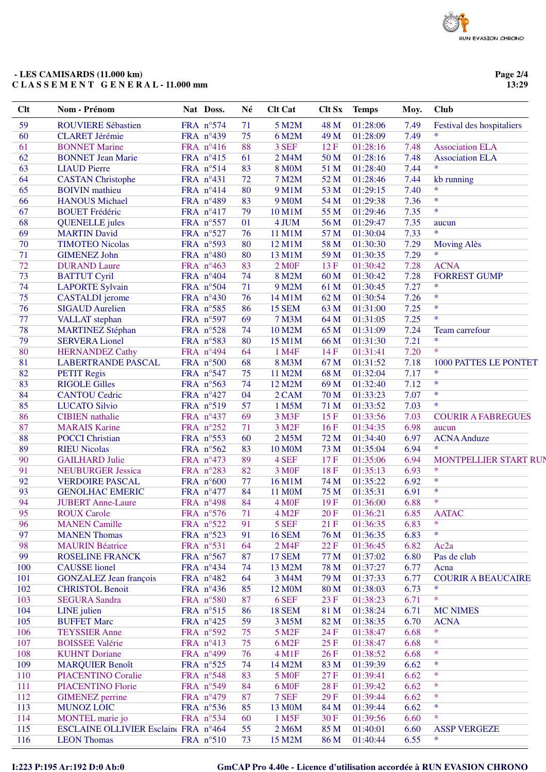### - LES CAMISARDS (11.000 km) CLASSEMENT GENERAL-11.000 mm

Page 2/4 13:29

| 59<br><b>ROUVIERE Sébastien</b><br>FRA nº574<br>71<br>5 M2M<br>48 M<br>01:28:06<br>7.49<br>Festival des hospitaliers<br>7.49<br>$\ast$<br>60<br>75<br>01:28:09<br>FRA n°439<br>6 M2M<br>49 M<br><b>CLARET Jérémie</b><br>61<br>88<br>7.48<br><b>BONNET Marine</b><br>FRA n°416<br>3 SEF<br>12F<br>01:28:16<br><b>Association ELA</b><br>62<br>7.48<br><b>BONNET Jean Marie</b><br>FRA n°415<br>61<br>50 M<br>01:28:16<br><b>Association ELA</b><br>2 M4M<br>$\ast$<br>63<br>83<br>7.44<br><b>LIAUD</b> Pierre<br>FRA n°514<br><b>8 MOM</b><br>51 M<br>01:28:40<br>64<br>FRA n°431<br>72<br>52 M<br>7.44<br><b>CASTAN Christophe</b><br><b>7 M2M</b><br>01:28:46<br>kb running<br>$\ast$<br>65<br>80<br>53 M<br>7.40<br><b>BOIVIN</b> mathieu<br>FRA n°414<br>9 M1M<br>01:29:15<br>$\ast$<br>66<br>83<br>7.36<br><b>HANOUS Michael</b><br>FRA n°489<br><b>9 M0M</b><br>54 M<br>01:29:38<br>$\ast$<br>67<br>55 M<br><b>BOUET</b> Frédéric<br>FRA nº417<br>79<br>10 M1M<br>01:29:46<br>7.35<br>68<br>01<br>7.35<br>FRA nº557<br>4 JUM<br>56 M<br>01:29:47<br><b>QUENELLE</b> jules<br>aucun<br>$\ast$<br>69<br>7.33<br><b>MARTIN David</b><br>FRA nº527<br>76<br>11 M1M<br>57 M<br>01:30:04<br>70<br>80<br><b>TIMOTEO Nicolas</b><br>FRA nº593<br>12 M1M<br>58 M<br>01:30:30<br>7.29<br><b>Moving Alès</b><br>$\ast$<br>71<br>80<br>7.29<br><b>GIMENEZ John</b><br>FRA n°480<br>13 M1M<br>59 M<br>01:30:35<br>72<br>83<br>13F<br>7.28<br><b>ACNA</b><br><b>DURAND Laure</b><br>FRA n°463<br><b>2 MOF</b><br>01:30:42<br>73<br>7.28<br><b>FORREST GUMP</b><br><b>BATTUT Cyril</b><br>FRA n°404<br>74<br>8 M2M<br>60 M<br>01:30:42<br>$\ast$<br>74<br>71<br>7.27<br><b>LAPORTE Sylvain</b><br>FRA n°504<br>9 M2M<br>61 M<br>01:30:45<br>$\ast$<br>75<br>76<br>7.26<br>FRA n°430<br>14 M1M<br>62 M<br>01:30:54<br><b>CASTALDI</b> jerome<br>$\ast$<br>76<br>86<br>63 M<br>7.25<br>FRA n°585<br><b>15 SEM</b><br>01:31:00<br><b>SIGAUD Aurelien</b><br>$\ast$<br>77<br>69<br>7.25<br>FRA n°597<br><b>7 M3M</b><br>64 M<br>01:31:05<br><b>VALLAT</b> stephan<br>78<br>FRA n°528<br>74<br>10 M2M<br>65 M<br>01:31:09<br>7.24<br>Team carrefour<br><b>MARTINEZ Stéphan</b><br>$\ast$<br>79<br>80<br>7.21<br>FRA n°583<br>15 M1M<br>66 M<br>01:31:30<br><b>SERVERA Lionel</b><br>$\ast$<br>80<br>7.20<br>FRA n°494<br>64<br>1 M4F<br>14F<br>01:31:41<br><b>HERNANDEZ Cathy</b><br>81<br>68<br><b>LABERTRANDE PASCAL</b><br>FRA n°500<br>8 M3M<br>67 M<br>01:31:52<br>7.18<br><b>1000 PATTES LE PONTET</b><br>$\ast$<br>82<br>7.17<br>FRA n°547<br>75<br>68 M<br>01:32:04<br><b>PETIT Regis</b><br>11 M2M<br>$\ast$<br>83<br>7.12<br>FRA n°563<br>74<br>12 M2M<br>69 M<br>01:32:40<br><b>RIGOLE Gilles</b><br>$\ast$<br>84<br>04<br>7.07<br>FRA nº427<br>70 M<br>01:33:23<br><b>CANTOU Cedric</b><br>2 CAM<br>85<br>$\ast$<br>57<br>7.03<br>FRA nº519<br>1 M5M<br>01:33:52<br><b>LUCATO Silvio</b><br>71 M<br>86<br>69<br>7.03<br>FRA n°437<br>15F<br>01:33:56<br><b>COURIR A FABREGUES</b><br><b>CIBIEN</b> nathalie<br>3 M3F<br>6.98<br>87<br>FRA n°252<br>16F<br><b>MARAIS Karine</b><br>71<br>3 M <sub>2F</sub><br>01:34:35<br>aucun<br>88<br>60<br>6.97<br><b>POCCI</b> Christian<br>FRA n°553<br>2 M5M<br>72 M<br>01:34:40<br><b>ACNA</b> Anduze<br>$\ast$<br>89<br>6.94<br><b>RIEU Nicolas</b><br>FRA n°562<br>83<br><b>10 M0M</b><br>73 M<br>01:35:04<br>90<br>89<br>6.94<br>FRA n°473<br>4 SEF<br>17F<br>01:35:06<br><b>GAILHARD Julie</b><br>$\ast$<br>91<br>FRA n°283<br>82<br>18F<br>6.93<br>3 M <sub>OF</sub><br>01:35:13<br><b>NEUBURGER Jessica</b><br>$\ast$<br>92<br>6.92<br><b>VERDOIRE PASCAL</b><br>FRA $n^{\circ}600$<br>77<br>16 M1M<br>74 M<br>01:35:22<br>93<br>84<br>6.91<br>$\ast$<br><b>GENOLHAC EMERIC</b><br>FRA n°477<br>11 M0M<br>75 M<br>01:35:31<br>$\ast$<br>94<br>84<br>6.88<br><b>JUBERT</b> Anne-Laure<br>FRA n°498<br>4 M <sub>OF</sub><br>19F<br>01:36:00<br>95<br>71<br>6.85<br>FRA n°576<br>20F<br>01:36:21<br><b>AATAC</b><br><b>ROUX Carole</b><br>4 M2F<br>$\ast$<br>96<br>5 SEF<br>6.83<br><b>MANEN Camille</b><br>FRA n°522<br>91<br>21 F<br>01:36:35<br>$\ast$<br>97<br>91<br>01:36:35<br>6.83<br><b>MANEN Thomas</b><br>FRA $n^{\circ}523$<br><b>16 SEM</b><br>76 M<br>98<br>2 M4F<br>$22 F$<br>01:36:45<br>6.82<br>Ac <sub>2a</sub><br><b>MAURIN Béatrice</b><br>FRA n°531<br>64<br>99<br>FRA n°567<br>87<br><b>17 SEM</b><br>77 M<br>01:37:02<br>6.80<br>Pas de club<br><b>ROSELINE FRANCK</b><br>100<br><b>CAUSSE</b> lionel<br>FRA n°434<br>78 M<br>01:37:27<br>6.77<br>74<br>13 M2M<br>Acna<br>101<br><b>GONZALEZ</b> Jean françois<br>64<br>79 M<br>01:37:33<br>6.77<br><b>COURIR A BEAUCAIRE</b><br>FRA n°482<br>3 M4M<br>$\ast$<br>102<br>FRA n°436<br>85<br>80 M<br>01:38:03<br>6.73<br><b>CHRISTOL Benoit</b><br>12 M <sub>0</sub> M<br>$\ast$<br>103<br>FRA n°580<br>87<br>6 SEF<br>23 F<br>01:38:23<br>6.71<br><b>SEGURA</b> Sandra<br>104<br>FRA n°515<br>86<br><b>18 SEM</b><br>01:38:24<br>LINE julien<br>81 M<br>6.71<br><b>MC NIMES</b><br>105<br>59<br>82 M<br><b>BUFFET Marc</b><br>FRA $n^{\circ}425$<br>3 M5M<br>01:38:35<br>6.70<br><b>ACNA</b><br>$\ast$<br><b>TEYSSIER Anne</b><br>01:38:47<br>6.68<br>106<br>FRA n°592<br>75<br>5 M <sub>2</sub> F<br>24 F<br>$\ast$<br>107<br>25F<br>01:38:47<br><b>BOISSEE Valérie</b><br>FRA nº413<br>75<br>6 M <sub>2F</sub><br>6.68<br>$\ast$<br>108<br>01:38:52<br><b>KUHNT</b> Doriane<br>FRA n°499<br>76<br>4 M1F<br>26F<br>6.68<br>$\ast$<br>6.62<br>109<br><b>MARQUIER Benoît</b><br>FRA $n^{\circ}525$<br>74<br>14 M2M<br>83 M<br>01:39:39<br>$\ast$<br>FRA n°548<br>83<br>27F<br>01:39:41<br>6.62<br>110<br><b>PIACENTINO Coralie</b><br><b>5 MOF</b><br>$\ast$<br>FRA n°549<br>28F<br>01:39:42<br>6.62<br>111<br>PIACENTINO Florie<br>84<br>6 M <sub>OF</sub><br>$\ast$<br>112<br>87<br>7 SEF<br>29F<br>01:39:44<br>6.62<br><b>GIMENEZ</b> perrine<br>FRA n°479<br>$\ast$<br>113<br>FRA n°536<br>01:39:44<br>6.62<br><b>MUNOZ LOIC</b><br>85<br>13 M0M<br>84 M<br>$\ast$<br>114<br>MONTEL marie jo<br>FRA n°534<br>60<br>1 M5F<br>30F<br>01:39:56<br>6.60<br>115<br>ESCLAINE OLLIVIER Esclaint FRA n°464<br>55<br>2 M6M<br>85 M<br>01:40:01<br>6.60<br><b>ASSP VERGEZE</b><br>*<br>FRA n°510 | Clt | Nom - Prénom       | Nat Doss. | Né | <b>Clt Cat</b> | <b>Clt Sx</b> | <b>Temps</b> | Moy. | <b>Club</b> |
|--------------------------------------------------------------------------------------------------------------------------------------------------------------------------------------------------------------------------------------------------------------------------------------------------------------------------------------------------------------------------------------------------------------------------------------------------------------------------------------------------------------------------------------------------------------------------------------------------------------------------------------------------------------------------------------------------------------------------------------------------------------------------------------------------------------------------------------------------------------------------------------------------------------------------------------------------------------------------------------------------------------------------------------------------------------------------------------------------------------------------------------------------------------------------------------------------------------------------------------------------------------------------------------------------------------------------------------------------------------------------------------------------------------------------------------------------------------------------------------------------------------------------------------------------------------------------------------------------------------------------------------------------------------------------------------------------------------------------------------------------------------------------------------------------------------------------------------------------------------------------------------------------------------------------------------------------------------------------------------------------------------------------------------------------------------------------------------------------------------------------------------------------------------------------------------------------------------------------------------------------------------------------------------------------------------------------------------------------------------------------------------------------------------------------------------------------------------------------------------------------------------------------------------------------------------------------------------------------------------------------------------------------------------------------------------------------------------------------------------------------------------------------------------------------------------------------------------------------------------------------------------------------------------------------------------------------------------------------------------------------------------------------------------------------------------------------------------------------------------------------------------------------------------------------------------------------------------------------------------------------------------------------------------------------------------------------------------------------------------------------------------------------------------------------------------------------------------------------------------------------------------------------------------------------------------------------------------------------------------------------------------------------------------------------------------------------------------------------------------------------------------------------------------------------------------------------------------------------------------------------------------------------------------------------------------------------------------------------------------------------------------------------------------------------------------------------------------------------------------------------------------------------------------------------------------------------------------------------------------------------------------------------------------------------------------------------------------------------------------------------------------------------------------------------------------------------------------------------------------------------------------------------------------------------------------------------------------------------------------------------------------------------------------------------------------------------------------------------------------------------------------------------------------------------------------------------------------------------------------------------------------------------------------------------------------------------------------------------------------------------------------------------------------------------------------------------------------------------------------------------------------------------------------------------------------------------------------------------------------------------------------------------------------------------------------------------------------------------------------------------------------------------------------------------------------------------------------------------------------------------------------------------------------------------------------------------------------------------------------------------------------------------------------------------------------------------------------------------------------------------------------------------------------------------------------------------------------------------------------------------------------------------------------------------------------------------------------------------------------------------------------------------------------------------------------------------------------------------------------------------------------------------------------------------------------------------------|-----|--------------------|-----------|----|----------------|---------------|--------------|------|-------------|
| MONTPELLIER START RUI                                                                                                                                                                                                                                                                                                                                                                                                                                                                                                                                                                                                                                                                                                                                                                                                                                                                                                                                                                                                                                                                                                                                                                                                                                                                                                                                                                                                                                                                                                                                                                                                                                                                                                                                                                                                                                                                                                                                                                                                                                                                                                                                                                                                                                                                                                                                                                                                                                                                                                                                                                                                                                                                                                                                                                                                                                                                                                                                                                                                                                                                                                                                                                                                                                                                                                                                                                                                                                                                                                                                                                                                                                                                                                                                                                                                                                                                                                                                                                                                                                                                                                                                                                                                                                                                                                                                                                                                                                                                                                                                                                                                                                                                                                                                                                                                                                                                                                                                                                                                                                                                                                                                                                                                                                                                                                                                                                                                                                                                                                                                                                                                                                                                                                                                                                                                                                                                                                                                                                                                                                                                                                                                                                                  |     |                    |           |    |                |               |              |      |             |
|                                                                                                                                                                                                                                                                                                                                                                                                                                                                                                                                                                                                                                                                                                                                                                                                                                                                                                                                                                                                                                                                                                                                                                                                                                                                                                                                                                                                                                                                                                                                                                                                                                                                                                                                                                                                                                                                                                                                                                                                                                                                                                                                                                                                                                                                                                                                                                                                                                                                                                                                                                                                                                                                                                                                                                                                                                                                                                                                                                                                                                                                                                                                                                                                                                                                                                                                                                                                                                                                                                                                                                                                                                                                                                                                                                                                                                                                                                                                                                                                                                                                                                                                                                                                                                                                                                                                                                                                                                                                                                                                                                                                                                                                                                                                                                                                                                                                                                                                                                                                                                                                                                                                                                                                                                                                                                                                                                                                                                                                                                                                                                                                                                                                                                                                                                                                                                                                                                                                                                                                                                                                                                                                                                                                        |     |                    |           |    |                |               |              |      |             |
|                                                                                                                                                                                                                                                                                                                                                                                                                                                                                                                                                                                                                                                                                                                                                                                                                                                                                                                                                                                                                                                                                                                                                                                                                                                                                                                                                                                                                                                                                                                                                                                                                                                                                                                                                                                                                                                                                                                                                                                                                                                                                                                                                                                                                                                                                                                                                                                                                                                                                                                                                                                                                                                                                                                                                                                                                                                                                                                                                                                                                                                                                                                                                                                                                                                                                                                                                                                                                                                                                                                                                                                                                                                                                                                                                                                                                                                                                                                                                                                                                                                                                                                                                                                                                                                                                                                                                                                                                                                                                                                                                                                                                                                                                                                                                                                                                                                                                                                                                                                                                                                                                                                                                                                                                                                                                                                                                                                                                                                                                                                                                                                                                                                                                                                                                                                                                                                                                                                                                                                                                                                                                                                                                                                                        |     |                    |           |    |                |               |              |      |             |
|                                                                                                                                                                                                                                                                                                                                                                                                                                                                                                                                                                                                                                                                                                                                                                                                                                                                                                                                                                                                                                                                                                                                                                                                                                                                                                                                                                                                                                                                                                                                                                                                                                                                                                                                                                                                                                                                                                                                                                                                                                                                                                                                                                                                                                                                                                                                                                                                                                                                                                                                                                                                                                                                                                                                                                                                                                                                                                                                                                                                                                                                                                                                                                                                                                                                                                                                                                                                                                                                                                                                                                                                                                                                                                                                                                                                                                                                                                                                                                                                                                                                                                                                                                                                                                                                                                                                                                                                                                                                                                                                                                                                                                                                                                                                                                                                                                                                                                                                                                                                                                                                                                                                                                                                                                                                                                                                                                                                                                                                                                                                                                                                                                                                                                                                                                                                                                                                                                                                                                                                                                                                                                                                                                                                        |     |                    |           |    |                |               |              |      |             |
|                                                                                                                                                                                                                                                                                                                                                                                                                                                                                                                                                                                                                                                                                                                                                                                                                                                                                                                                                                                                                                                                                                                                                                                                                                                                                                                                                                                                                                                                                                                                                                                                                                                                                                                                                                                                                                                                                                                                                                                                                                                                                                                                                                                                                                                                                                                                                                                                                                                                                                                                                                                                                                                                                                                                                                                                                                                                                                                                                                                                                                                                                                                                                                                                                                                                                                                                                                                                                                                                                                                                                                                                                                                                                                                                                                                                                                                                                                                                                                                                                                                                                                                                                                                                                                                                                                                                                                                                                                                                                                                                                                                                                                                                                                                                                                                                                                                                                                                                                                                                                                                                                                                                                                                                                                                                                                                                                                                                                                                                                                                                                                                                                                                                                                                                                                                                                                                                                                                                                                                                                                                                                                                                                                                                        |     |                    |           |    |                |               |              |      |             |
|                                                                                                                                                                                                                                                                                                                                                                                                                                                                                                                                                                                                                                                                                                                                                                                                                                                                                                                                                                                                                                                                                                                                                                                                                                                                                                                                                                                                                                                                                                                                                                                                                                                                                                                                                                                                                                                                                                                                                                                                                                                                                                                                                                                                                                                                                                                                                                                                                                                                                                                                                                                                                                                                                                                                                                                                                                                                                                                                                                                                                                                                                                                                                                                                                                                                                                                                                                                                                                                                                                                                                                                                                                                                                                                                                                                                                                                                                                                                                                                                                                                                                                                                                                                                                                                                                                                                                                                                                                                                                                                                                                                                                                                                                                                                                                                                                                                                                                                                                                                                                                                                                                                                                                                                                                                                                                                                                                                                                                                                                                                                                                                                                                                                                                                                                                                                                                                                                                                                                                                                                                                                                                                                                                                                        |     |                    |           |    |                |               |              |      |             |
|                                                                                                                                                                                                                                                                                                                                                                                                                                                                                                                                                                                                                                                                                                                                                                                                                                                                                                                                                                                                                                                                                                                                                                                                                                                                                                                                                                                                                                                                                                                                                                                                                                                                                                                                                                                                                                                                                                                                                                                                                                                                                                                                                                                                                                                                                                                                                                                                                                                                                                                                                                                                                                                                                                                                                                                                                                                                                                                                                                                                                                                                                                                                                                                                                                                                                                                                                                                                                                                                                                                                                                                                                                                                                                                                                                                                                                                                                                                                                                                                                                                                                                                                                                                                                                                                                                                                                                                                                                                                                                                                                                                                                                                                                                                                                                                                                                                                                                                                                                                                                                                                                                                                                                                                                                                                                                                                                                                                                                                                                                                                                                                                                                                                                                                                                                                                                                                                                                                                                                                                                                                                                                                                                                                                        |     |                    |           |    |                |               |              |      |             |
|                                                                                                                                                                                                                                                                                                                                                                                                                                                                                                                                                                                                                                                                                                                                                                                                                                                                                                                                                                                                                                                                                                                                                                                                                                                                                                                                                                                                                                                                                                                                                                                                                                                                                                                                                                                                                                                                                                                                                                                                                                                                                                                                                                                                                                                                                                                                                                                                                                                                                                                                                                                                                                                                                                                                                                                                                                                                                                                                                                                                                                                                                                                                                                                                                                                                                                                                                                                                                                                                                                                                                                                                                                                                                                                                                                                                                                                                                                                                                                                                                                                                                                                                                                                                                                                                                                                                                                                                                                                                                                                                                                                                                                                                                                                                                                                                                                                                                                                                                                                                                                                                                                                                                                                                                                                                                                                                                                                                                                                                                                                                                                                                                                                                                                                                                                                                                                                                                                                                                                                                                                                                                                                                                                                                        |     |                    |           |    |                |               |              |      |             |
|                                                                                                                                                                                                                                                                                                                                                                                                                                                                                                                                                                                                                                                                                                                                                                                                                                                                                                                                                                                                                                                                                                                                                                                                                                                                                                                                                                                                                                                                                                                                                                                                                                                                                                                                                                                                                                                                                                                                                                                                                                                                                                                                                                                                                                                                                                                                                                                                                                                                                                                                                                                                                                                                                                                                                                                                                                                                                                                                                                                                                                                                                                                                                                                                                                                                                                                                                                                                                                                                                                                                                                                                                                                                                                                                                                                                                                                                                                                                                                                                                                                                                                                                                                                                                                                                                                                                                                                                                                                                                                                                                                                                                                                                                                                                                                                                                                                                                                                                                                                                                                                                                                                                                                                                                                                                                                                                                                                                                                                                                                                                                                                                                                                                                                                                                                                                                                                                                                                                                                                                                                                                                                                                                                                                        |     |                    |           |    |                |               |              |      |             |
|                                                                                                                                                                                                                                                                                                                                                                                                                                                                                                                                                                                                                                                                                                                                                                                                                                                                                                                                                                                                                                                                                                                                                                                                                                                                                                                                                                                                                                                                                                                                                                                                                                                                                                                                                                                                                                                                                                                                                                                                                                                                                                                                                                                                                                                                                                                                                                                                                                                                                                                                                                                                                                                                                                                                                                                                                                                                                                                                                                                                                                                                                                                                                                                                                                                                                                                                                                                                                                                                                                                                                                                                                                                                                                                                                                                                                                                                                                                                                                                                                                                                                                                                                                                                                                                                                                                                                                                                                                                                                                                                                                                                                                                                                                                                                                                                                                                                                                                                                                                                                                                                                                                                                                                                                                                                                                                                                                                                                                                                                                                                                                                                                                                                                                                                                                                                                                                                                                                                                                                                                                                                                                                                                                                                        |     |                    |           |    |                |               |              |      |             |
|                                                                                                                                                                                                                                                                                                                                                                                                                                                                                                                                                                                                                                                                                                                                                                                                                                                                                                                                                                                                                                                                                                                                                                                                                                                                                                                                                                                                                                                                                                                                                                                                                                                                                                                                                                                                                                                                                                                                                                                                                                                                                                                                                                                                                                                                                                                                                                                                                                                                                                                                                                                                                                                                                                                                                                                                                                                                                                                                                                                                                                                                                                                                                                                                                                                                                                                                                                                                                                                                                                                                                                                                                                                                                                                                                                                                                                                                                                                                                                                                                                                                                                                                                                                                                                                                                                                                                                                                                                                                                                                                                                                                                                                                                                                                                                                                                                                                                                                                                                                                                                                                                                                                                                                                                                                                                                                                                                                                                                                                                                                                                                                                                                                                                                                                                                                                                                                                                                                                                                                                                                                                                                                                                                                                        |     |                    |           |    |                |               |              |      |             |
|                                                                                                                                                                                                                                                                                                                                                                                                                                                                                                                                                                                                                                                                                                                                                                                                                                                                                                                                                                                                                                                                                                                                                                                                                                                                                                                                                                                                                                                                                                                                                                                                                                                                                                                                                                                                                                                                                                                                                                                                                                                                                                                                                                                                                                                                                                                                                                                                                                                                                                                                                                                                                                                                                                                                                                                                                                                                                                                                                                                                                                                                                                                                                                                                                                                                                                                                                                                                                                                                                                                                                                                                                                                                                                                                                                                                                                                                                                                                                                                                                                                                                                                                                                                                                                                                                                                                                                                                                                                                                                                                                                                                                                                                                                                                                                                                                                                                                                                                                                                                                                                                                                                                                                                                                                                                                                                                                                                                                                                                                                                                                                                                                                                                                                                                                                                                                                                                                                                                                                                                                                                                                                                                                                                                        |     |                    |           |    |                |               |              |      |             |
|                                                                                                                                                                                                                                                                                                                                                                                                                                                                                                                                                                                                                                                                                                                                                                                                                                                                                                                                                                                                                                                                                                                                                                                                                                                                                                                                                                                                                                                                                                                                                                                                                                                                                                                                                                                                                                                                                                                                                                                                                                                                                                                                                                                                                                                                                                                                                                                                                                                                                                                                                                                                                                                                                                                                                                                                                                                                                                                                                                                                                                                                                                                                                                                                                                                                                                                                                                                                                                                                                                                                                                                                                                                                                                                                                                                                                                                                                                                                                                                                                                                                                                                                                                                                                                                                                                                                                                                                                                                                                                                                                                                                                                                                                                                                                                                                                                                                                                                                                                                                                                                                                                                                                                                                                                                                                                                                                                                                                                                                                                                                                                                                                                                                                                                                                                                                                                                                                                                                                                                                                                                                                                                                                                                                        |     |                    |           |    |                |               |              |      |             |
|                                                                                                                                                                                                                                                                                                                                                                                                                                                                                                                                                                                                                                                                                                                                                                                                                                                                                                                                                                                                                                                                                                                                                                                                                                                                                                                                                                                                                                                                                                                                                                                                                                                                                                                                                                                                                                                                                                                                                                                                                                                                                                                                                                                                                                                                                                                                                                                                                                                                                                                                                                                                                                                                                                                                                                                                                                                                                                                                                                                                                                                                                                                                                                                                                                                                                                                                                                                                                                                                                                                                                                                                                                                                                                                                                                                                                                                                                                                                                                                                                                                                                                                                                                                                                                                                                                                                                                                                                                                                                                                                                                                                                                                                                                                                                                                                                                                                                                                                                                                                                                                                                                                                                                                                                                                                                                                                                                                                                                                                                                                                                                                                                                                                                                                                                                                                                                                                                                                                                                                                                                                                                                                                                                                                        |     |                    |           |    |                |               |              |      |             |
|                                                                                                                                                                                                                                                                                                                                                                                                                                                                                                                                                                                                                                                                                                                                                                                                                                                                                                                                                                                                                                                                                                                                                                                                                                                                                                                                                                                                                                                                                                                                                                                                                                                                                                                                                                                                                                                                                                                                                                                                                                                                                                                                                                                                                                                                                                                                                                                                                                                                                                                                                                                                                                                                                                                                                                                                                                                                                                                                                                                                                                                                                                                                                                                                                                                                                                                                                                                                                                                                                                                                                                                                                                                                                                                                                                                                                                                                                                                                                                                                                                                                                                                                                                                                                                                                                                                                                                                                                                                                                                                                                                                                                                                                                                                                                                                                                                                                                                                                                                                                                                                                                                                                                                                                                                                                                                                                                                                                                                                                                                                                                                                                                                                                                                                                                                                                                                                                                                                                                                                                                                                                                                                                                                                                        |     |                    |           |    |                |               |              |      |             |
|                                                                                                                                                                                                                                                                                                                                                                                                                                                                                                                                                                                                                                                                                                                                                                                                                                                                                                                                                                                                                                                                                                                                                                                                                                                                                                                                                                                                                                                                                                                                                                                                                                                                                                                                                                                                                                                                                                                                                                                                                                                                                                                                                                                                                                                                                                                                                                                                                                                                                                                                                                                                                                                                                                                                                                                                                                                                                                                                                                                                                                                                                                                                                                                                                                                                                                                                                                                                                                                                                                                                                                                                                                                                                                                                                                                                                                                                                                                                                                                                                                                                                                                                                                                                                                                                                                                                                                                                                                                                                                                                                                                                                                                                                                                                                                                                                                                                                                                                                                                                                                                                                                                                                                                                                                                                                                                                                                                                                                                                                                                                                                                                                                                                                                                                                                                                                                                                                                                                                                                                                                                                                                                                                                                                        |     |                    |           |    |                |               |              |      |             |
|                                                                                                                                                                                                                                                                                                                                                                                                                                                                                                                                                                                                                                                                                                                                                                                                                                                                                                                                                                                                                                                                                                                                                                                                                                                                                                                                                                                                                                                                                                                                                                                                                                                                                                                                                                                                                                                                                                                                                                                                                                                                                                                                                                                                                                                                                                                                                                                                                                                                                                                                                                                                                                                                                                                                                                                                                                                                                                                                                                                                                                                                                                                                                                                                                                                                                                                                                                                                                                                                                                                                                                                                                                                                                                                                                                                                                                                                                                                                                                                                                                                                                                                                                                                                                                                                                                                                                                                                                                                                                                                                                                                                                                                                                                                                                                                                                                                                                                                                                                                                                                                                                                                                                                                                                                                                                                                                                                                                                                                                                                                                                                                                                                                                                                                                                                                                                                                                                                                                                                                                                                                                                                                                                                                                        |     |                    |           |    |                |               |              |      |             |
|                                                                                                                                                                                                                                                                                                                                                                                                                                                                                                                                                                                                                                                                                                                                                                                                                                                                                                                                                                                                                                                                                                                                                                                                                                                                                                                                                                                                                                                                                                                                                                                                                                                                                                                                                                                                                                                                                                                                                                                                                                                                                                                                                                                                                                                                                                                                                                                                                                                                                                                                                                                                                                                                                                                                                                                                                                                                                                                                                                                                                                                                                                                                                                                                                                                                                                                                                                                                                                                                                                                                                                                                                                                                                                                                                                                                                                                                                                                                                                                                                                                                                                                                                                                                                                                                                                                                                                                                                                                                                                                                                                                                                                                                                                                                                                                                                                                                                                                                                                                                                                                                                                                                                                                                                                                                                                                                                                                                                                                                                                                                                                                                                                                                                                                                                                                                                                                                                                                                                                                                                                                                                                                                                                                                        |     |                    |           |    |                |               |              |      |             |
|                                                                                                                                                                                                                                                                                                                                                                                                                                                                                                                                                                                                                                                                                                                                                                                                                                                                                                                                                                                                                                                                                                                                                                                                                                                                                                                                                                                                                                                                                                                                                                                                                                                                                                                                                                                                                                                                                                                                                                                                                                                                                                                                                                                                                                                                                                                                                                                                                                                                                                                                                                                                                                                                                                                                                                                                                                                                                                                                                                                                                                                                                                                                                                                                                                                                                                                                                                                                                                                                                                                                                                                                                                                                                                                                                                                                                                                                                                                                                                                                                                                                                                                                                                                                                                                                                                                                                                                                                                                                                                                                                                                                                                                                                                                                                                                                                                                                                                                                                                                                                                                                                                                                                                                                                                                                                                                                                                                                                                                                                                                                                                                                                                                                                                                                                                                                                                                                                                                                                                                                                                                                                                                                                                                                        |     |                    |           |    |                |               |              |      |             |
|                                                                                                                                                                                                                                                                                                                                                                                                                                                                                                                                                                                                                                                                                                                                                                                                                                                                                                                                                                                                                                                                                                                                                                                                                                                                                                                                                                                                                                                                                                                                                                                                                                                                                                                                                                                                                                                                                                                                                                                                                                                                                                                                                                                                                                                                                                                                                                                                                                                                                                                                                                                                                                                                                                                                                                                                                                                                                                                                                                                                                                                                                                                                                                                                                                                                                                                                                                                                                                                                                                                                                                                                                                                                                                                                                                                                                                                                                                                                                                                                                                                                                                                                                                                                                                                                                                                                                                                                                                                                                                                                                                                                                                                                                                                                                                                                                                                                                                                                                                                                                                                                                                                                                                                                                                                                                                                                                                                                                                                                                                                                                                                                                                                                                                                                                                                                                                                                                                                                                                                                                                                                                                                                                                                                        |     |                    |           |    |                |               |              |      |             |
|                                                                                                                                                                                                                                                                                                                                                                                                                                                                                                                                                                                                                                                                                                                                                                                                                                                                                                                                                                                                                                                                                                                                                                                                                                                                                                                                                                                                                                                                                                                                                                                                                                                                                                                                                                                                                                                                                                                                                                                                                                                                                                                                                                                                                                                                                                                                                                                                                                                                                                                                                                                                                                                                                                                                                                                                                                                                                                                                                                                                                                                                                                                                                                                                                                                                                                                                                                                                                                                                                                                                                                                                                                                                                                                                                                                                                                                                                                                                                                                                                                                                                                                                                                                                                                                                                                                                                                                                                                                                                                                                                                                                                                                                                                                                                                                                                                                                                                                                                                                                                                                                                                                                                                                                                                                                                                                                                                                                                                                                                                                                                                                                                                                                                                                                                                                                                                                                                                                                                                                                                                                                                                                                                                                                        |     |                    |           |    |                |               |              |      |             |
|                                                                                                                                                                                                                                                                                                                                                                                                                                                                                                                                                                                                                                                                                                                                                                                                                                                                                                                                                                                                                                                                                                                                                                                                                                                                                                                                                                                                                                                                                                                                                                                                                                                                                                                                                                                                                                                                                                                                                                                                                                                                                                                                                                                                                                                                                                                                                                                                                                                                                                                                                                                                                                                                                                                                                                                                                                                                                                                                                                                                                                                                                                                                                                                                                                                                                                                                                                                                                                                                                                                                                                                                                                                                                                                                                                                                                                                                                                                                                                                                                                                                                                                                                                                                                                                                                                                                                                                                                                                                                                                                                                                                                                                                                                                                                                                                                                                                                                                                                                                                                                                                                                                                                                                                                                                                                                                                                                                                                                                                                                                                                                                                                                                                                                                                                                                                                                                                                                                                                                                                                                                                                                                                                                                                        |     |                    |           |    |                |               |              |      |             |
|                                                                                                                                                                                                                                                                                                                                                                                                                                                                                                                                                                                                                                                                                                                                                                                                                                                                                                                                                                                                                                                                                                                                                                                                                                                                                                                                                                                                                                                                                                                                                                                                                                                                                                                                                                                                                                                                                                                                                                                                                                                                                                                                                                                                                                                                                                                                                                                                                                                                                                                                                                                                                                                                                                                                                                                                                                                                                                                                                                                                                                                                                                                                                                                                                                                                                                                                                                                                                                                                                                                                                                                                                                                                                                                                                                                                                                                                                                                                                                                                                                                                                                                                                                                                                                                                                                                                                                                                                                                                                                                                                                                                                                                                                                                                                                                                                                                                                                                                                                                                                                                                                                                                                                                                                                                                                                                                                                                                                                                                                                                                                                                                                                                                                                                                                                                                                                                                                                                                                                                                                                                                                                                                                                                                        |     |                    |           |    |                |               |              |      |             |
|                                                                                                                                                                                                                                                                                                                                                                                                                                                                                                                                                                                                                                                                                                                                                                                                                                                                                                                                                                                                                                                                                                                                                                                                                                                                                                                                                                                                                                                                                                                                                                                                                                                                                                                                                                                                                                                                                                                                                                                                                                                                                                                                                                                                                                                                                                                                                                                                                                                                                                                                                                                                                                                                                                                                                                                                                                                                                                                                                                                                                                                                                                                                                                                                                                                                                                                                                                                                                                                                                                                                                                                                                                                                                                                                                                                                                                                                                                                                                                                                                                                                                                                                                                                                                                                                                                                                                                                                                                                                                                                                                                                                                                                                                                                                                                                                                                                                                                                                                                                                                                                                                                                                                                                                                                                                                                                                                                                                                                                                                                                                                                                                                                                                                                                                                                                                                                                                                                                                                                                                                                                                                                                                                                                                        |     |                    |           |    |                |               |              |      |             |
|                                                                                                                                                                                                                                                                                                                                                                                                                                                                                                                                                                                                                                                                                                                                                                                                                                                                                                                                                                                                                                                                                                                                                                                                                                                                                                                                                                                                                                                                                                                                                                                                                                                                                                                                                                                                                                                                                                                                                                                                                                                                                                                                                                                                                                                                                                                                                                                                                                                                                                                                                                                                                                                                                                                                                                                                                                                                                                                                                                                                                                                                                                                                                                                                                                                                                                                                                                                                                                                                                                                                                                                                                                                                                                                                                                                                                                                                                                                                                                                                                                                                                                                                                                                                                                                                                                                                                                                                                                                                                                                                                                                                                                                                                                                                                                                                                                                                                                                                                                                                                                                                                                                                                                                                                                                                                                                                                                                                                                                                                                                                                                                                                                                                                                                                                                                                                                                                                                                                                                                                                                                                                                                                                                                                        |     |                    |           |    |                |               |              |      |             |
|                                                                                                                                                                                                                                                                                                                                                                                                                                                                                                                                                                                                                                                                                                                                                                                                                                                                                                                                                                                                                                                                                                                                                                                                                                                                                                                                                                                                                                                                                                                                                                                                                                                                                                                                                                                                                                                                                                                                                                                                                                                                                                                                                                                                                                                                                                                                                                                                                                                                                                                                                                                                                                                                                                                                                                                                                                                                                                                                                                                                                                                                                                                                                                                                                                                                                                                                                                                                                                                                                                                                                                                                                                                                                                                                                                                                                                                                                                                                                                                                                                                                                                                                                                                                                                                                                                                                                                                                                                                                                                                                                                                                                                                                                                                                                                                                                                                                                                                                                                                                                                                                                                                                                                                                                                                                                                                                                                                                                                                                                                                                                                                                                                                                                                                                                                                                                                                                                                                                                                                                                                                                                                                                                                                                        |     |                    |           |    |                |               |              |      |             |
|                                                                                                                                                                                                                                                                                                                                                                                                                                                                                                                                                                                                                                                                                                                                                                                                                                                                                                                                                                                                                                                                                                                                                                                                                                                                                                                                                                                                                                                                                                                                                                                                                                                                                                                                                                                                                                                                                                                                                                                                                                                                                                                                                                                                                                                                                                                                                                                                                                                                                                                                                                                                                                                                                                                                                                                                                                                                                                                                                                                                                                                                                                                                                                                                                                                                                                                                                                                                                                                                                                                                                                                                                                                                                                                                                                                                                                                                                                                                                                                                                                                                                                                                                                                                                                                                                                                                                                                                                                                                                                                                                                                                                                                                                                                                                                                                                                                                                                                                                                                                                                                                                                                                                                                                                                                                                                                                                                                                                                                                                                                                                                                                                                                                                                                                                                                                                                                                                                                                                                                                                                                                                                                                                                                                        |     |                    |           |    |                |               |              |      |             |
|                                                                                                                                                                                                                                                                                                                                                                                                                                                                                                                                                                                                                                                                                                                                                                                                                                                                                                                                                                                                                                                                                                                                                                                                                                                                                                                                                                                                                                                                                                                                                                                                                                                                                                                                                                                                                                                                                                                                                                                                                                                                                                                                                                                                                                                                                                                                                                                                                                                                                                                                                                                                                                                                                                                                                                                                                                                                                                                                                                                                                                                                                                                                                                                                                                                                                                                                                                                                                                                                                                                                                                                                                                                                                                                                                                                                                                                                                                                                                                                                                                                                                                                                                                                                                                                                                                                                                                                                                                                                                                                                                                                                                                                                                                                                                                                                                                                                                                                                                                                                                                                                                                                                                                                                                                                                                                                                                                                                                                                                                                                                                                                                                                                                                                                                                                                                                                                                                                                                                                                                                                                                                                                                                                                                        |     |                    |           |    |                |               |              |      |             |
|                                                                                                                                                                                                                                                                                                                                                                                                                                                                                                                                                                                                                                                                                                                                                                                                                                                                                                                                                                                                                                                                                                                                                                                                                                                                                                                                                                                                                                                                                                                                                                                                                                                                                                                                                                                                                                                                                                                                                                                                                                                                                                                                                                                                                                                                                                                                                                                                                                                                                                                                                                                                                                                                                                                                                                                                                                                                                                                                                                                                                                                                                                                                                                                                                                                                                                                                                                                                                                                                                                                                                                                                                                                                                                                                                                                                                                                                                                                                                                                                                                                                                                                                                                                                                                                                                                                                                                                                                                                                                                                                                                                                                                                                                                                                                                                                                                                                                                                                                                                                                                                                                                                                                                                                                                                                                                                                                                                                                                                                                                                                                                                                                                                                                                                                                                                                                                                                                                                                                                                                                                                                                                                                                                                                        |     |                    |           |    |                |               |              |      |             |
|                                                                                                                                                                                                                                                                                                                                                                                                                                                                                                                                                                                                                                                                                                                                                                                                                                                                                                                                                                                                                                                                                                                                                                                                                                                                                                                                                                                                                                                                                                                                                                                                                                                                                                                                                                                                                                                                                                                                                                                                                                                                                                                                                                                                                                                                                                                                                                                                                                                                                                                                                                                                                                                                                                                                                                                                                                                                                                                                                                                                                                                                                                                                                                                                                                                                                                                                                                                                                                                                                                                                                                                                                                                                                                                                                                                                                                                                                                                                                                                                                                                                                                                                                                                                                                                                                                                                                                                                                                                                                                                                                                                                                                                                                                                                                                                                                                                                                                                                                                                                                                                                                                                                                                                                                                                                                                                                                                                                                                                                                                                                                                                                                                                                                                                                                                                                                                                                                                                                                                                                                                                                                                                                                                                                        |     |                    |           |    |                |               |              |      |             |
|                                                                                                                                                                                                                                                                                                                                                                                                                                                                                                                                                                                                                                                                                                                                                                                                                                                                                                                                                                                                                                                                                                                                                                                                                                                                                                                                                                                                                                                                                                                                                                                                                                                                                                                                                                                                                                                                                                                                                                                                                                                                                                                                                                                                                                                                                                                                                                                                                                                                                                                                                                                                                                                                                                                                                                                                                                                                                                                                                                                                                                                                                                                                                                                                                                                                                                                                                                                                                                                                                                                                                                                                                                                                                                                                                                                                                                                                                                                                                                                                                                                                                                                                                                                                                                                                                                                                                                                                                                                                                                                                                                                                                                                                                                                                                                                                                                                                                                                                                                                                                                                                                                                                                                                                                                                                                                                                                                                                                                                                                                                                                                                                                                                                                                                                                                                                                                                                                                                                                                                                                                                                                                                                                                                                        |     |                    |           |    |                |               |              |      |             |
|                                                                                                                                                                                                                                                                                                                                                                                                                                                                                                                                                                                                                                                                                                                                                                                                                                                                                                                                                                                                                                                                                                                                                                                                                                                                                                                                                                                                                                                                                                                                                                                                                                                                                                                                                                                                                                                                                                                                                                                                                                                                                                                                                                                                                                                                                                                                                                                                                                                                                                                                                                                                                                                                                                                                                                                                                                                                                                                                                                                                                                                                                                                                                                                                                                                                                                                                                                                                                                                                                                                                                                                                                                                                                                                                                                                                                                                                                                                                                                                                                                                                                                                                                                                                                                                                                                                                                                                                                                                                                                                                                                                                                                                                                                                                                                                                                                                                                                                                                                                                                                                                                                                                                                                                                                                                                                                                                                                                                                                                                                                                                                                                                                                                                                                                                                                                                                                                                                                                                                                                                                                                                                                                                                                                        |     |                    |           |    |                |               |              |      |             |
|                                                                                                                                                                                                                                                                                                                                                                                                                                                                                                                                                                                                                                                                                                                                                                                                                                                                                                                                                                                                                                                                                                                                                                                                                                                                                                                                                                                                                                                                                                                                                                                                                                                                                                                                                                                                                                                                                                                                                                                                                                                                                                                                                                                                                                                                                                                                                                                                                                                                                                                                                                                                                                                                                                                                                                                                                                                                                                                                                                                                                                                                                                                                                                                                                                                                                                                                                                                                                                                                                                                                                                                                                                                                                                                                                                                                                                                                                                                                                                                                                                                                                                                                                                                                                                                                                                                                                                                                                                                                                                                                                                                                                                                                                                                                                                                                                                                                                                                                                                                                                                                                                                                                                                                                                                                                                                                                                                                                                                                                                                                                                                                                                                                                                                                                                                                                                                                                                                                                                                                                                                                                                                                                                                                                        |     |                    |           |    |                |               |              |      |             |
|                                                                                                                                                                                                                                                                                                                                                                                                                                                                                                                                                                                                                                                                                                                                                                                                                                                                                                                                                                                                                                                                                                                                                                                                                                                                                                                                                                                                                                                                                                                                                                                                                                                                                                                                                                                                                                                                                                                                                                                                                                                                                                                                                                                                                                                                                                                                                                                                                                                                                                                                                                                                                                                                                                                                                                                                                                                                                                                                                                                                                                                                                                                                                                                                                                                                                                                                                                                                                                                                                                                                                                                                                                                                                                                                                                                                                                                                                                                                                                                                                                                                                                                                                                                                                                                                                                                                                                                                                                                                                                                                                                                                                                                                                                                                                                                                                                                                                                                                                                                                                                                                                                                                                                                                                                                                                                                                                                                                                                                                                                                                                                                                                                                                                                                                                                                                                                                                                                                                                                                                                                                                                                                                                                                                        |     |                    |           |    |                |               |              |      |             |
|                                                                                                                                                                                                                                                                                                                                                                                                                                                                                                                                                                                                                                                                                                                                                                                                                                                                                                                                                                                                                                                                                                                                                                                                                                                                                                                                                                                                                                                                                                                                                                                                                                                                                                                                                                                                                                                                                                                                                                                                                                                                                                                                                                                                                                                                                                                                                                                                                                                                                                                                                                                                                                                                                                                                                                                                                                                                                                                                                                                                                                                                                                                                                                                                                                                                                                                                                                                                                                                                                                                                                                                                                                                                                                                                                                                                                                                                                                                                                                                                                                                                                                                                                                                                                                                                                                                                                                                                                                                                                                                                                                                                                                                                                                                                                                                                                                                                                                                                                                                                                                                                                                                                                                                                                                                                                                                                                                                                                                                                                                                                                                                                                                                                                                                                                                                                                                                                                                                                                                                                                                                                                                                                                                                                        |     |                    |           |    |                |               |              |      |             |
|                                                                                                                                                                                                                                                                                                                                                                                                                                                                                                                                                                                                                                                                                                                                                                                                                                                                                                                                                                                                                                                                                                                                                                                                                                                                                                                                                                                                                                                                                                                                                                                                                                                                                                                                                                                                                                                                                                                                                                                                                                                                                                                                                                                                                                                                                                                                                                                                                                                                                                                                                                                                                                                                                                                                                                                                                                                                                                                                                                                                                                                                                                                                                                                                                                                                                                                                                                                                                                                                                                                                                                                                                                                                                                                                                                                                                                                                                                                                                                                                                                                                                                                                                                                                                                                                                                                                                                                                                                                                                                                                                                                                                                                                                                                                                                                                                                                                                                                                                                                                                                                                                                                                                                                                                                                                                                                                                                                                                                                                                                                                                                                                                                                                                                                                                                                                                                                                                                                                                                                                                                                                                                                                                                                                        |     |                    |           |    |                |               |              |      |             |
|                                                                                                                                                                                                                                                                                                                                                                                                                                                                                                                                                                                                                                                                                                                                                                                                                                                                                                                                                                                                                                                                                                                                                                                                                                                                                                                                                                                                                                                                                                                                                                                                                                                                                                                                                                                                                                                                                                                                                                                                                                                                                                                                                                                                                                                                                                                                                                                                                                                                                                                                                                                                                                                                                                                                                                                                                                                                                                                                                                                                                                                                                                                                                                                                                                                                                                                                                                                                                                                                                                                                                                                                                                                                                                                                                                                                                                                                                                                                                                                                                                                                                                                                                                                                                                                                                                                                                                                                                                                                                                                                                                                                                                                                                                                                                                                                                                                                                                                                                                                                                                                                                                                                                                                                                                                                                                                                                                                                                                                                                                                                                                                                                                                                                                                                                                                                                                                                                                                                                                                                                                                                                                                                                                                                        |     |                    |           |    |                |               |              |      |             |
|                                                                                                                                                                                                                                                                                                                                                                                                                                                                                                                                                                                                                                                                                                                                                                                                                                                                                                                                                                                                                                                                                                                                                                                                                                                                                                                                                                                                                                                                                                                                                                                                                                                                                                                                                                                                                                                                                                                                                                                                                                                                                                                                                                                                                                                                                                                                                                                                                                                                                                                                                                                                                                                                                                                                                                                                                                                                                                                                                                                                                                                                                                                                                                                                                                                                                                                                                                                                                                                                                                                                                                                                                                                                                                                                                                                                                                                                                                                                                                                                                                                                                                                                                                                                                                                                                                                                                                                                                                                                                                                                                                                                                                                                                                                                                                                                                                                                                                                                                                                                                                                                                                                                                                                                                                                                                                                                                                                                                                                                                                                                                                                                                                                                                                                                                                                                                                                                                                                                                                                                                                                                                                                                                                                                        |     |                    |           |    |                |               |              |      |             |
|                                                                                                                                                                                                                                                                                                                                                                                                                                                                                                                                                                                                                                                                                                                                                                                                                                                                                                                                                                                                                                                                                                                                                                                                                                                                                                                                                                                                                                                                                                                                                                                                                                                                                                                                                                                                                                                                                                                                                                                                                                                                                                                                                                                                                                                                                                                                                                                                                                                                                                                                                                                                                                                                                                                                                                                                                                                                                                                                                                                                                                                                                                                                                                                                                                                                                                                                                                                                                                                                                                                                                                                                                                                                                                                                                                                                                                                                                                                                                                                                                                                                                                                                                                                                                                                                                                                                                                                                                                                                                                                                                                                                                                                                                                                                                                                                                                                                                                                                                                                                                                                                                                                                                                                                                                                                                                                                                                                                                                                                                                                                                                                                                                                                                                                                                                                                                                                                                                                                                                                                                                                                                                                                                                                                        |     |                    |           |    |                |               |              |      |             |
|                                                                                                                                                                                                                                                                                                                                                                                                                                                                                                                                                                                                                                                                                                                                                                                                                                                                                                                                                                                                                                                                                                                                                                                                                                                                                                                                                                                                                                                                                                                                                                                                                                                                                                                                                                                                                                                                                                                                                                                                                                                                                                                                                                                                                                                                                                                                                                                                                                                                                                                                                                                                                                                                                                                                                                                                                                                                                                                                                                                                                                                                                                                                                                                                                                                                                                                                                                                                                                                                                                                                                                                                                                                                                                                                                                                                                                                                                                                                                                                                                                                                                                                                                                                                                                                                                                                                                                                                                                                                                                                                                                                                                                                                                                                                                                                                                                                                                                                                                                                                                                                                                                                                                                                                                                                                                                                                                                                                                                                                                                                                                                                                                                                                                                                                                                                                                                                                                                                                                                                                                                                                                                                                                                                                        |     |                    |           |    |                |               |              |      |             |
|                                                                                                                                                                                                                                                                                                                                                                                                                                                                                                                                                                                                                                                                                                                                                                                                                                                                                                                                                                                                                                                                                                                                                                                                                                                                                                                                                                                                                                                                                                                                                                                                                                                                                                                                                                                                                                                                                                                                                                                                                                                                                                                                                                                                                                                                                                                                                                                                                                                                                                                                                                                                                                                                                                                                                                                                                                                                                                                                                                                                                                                                                                                                                                                                                                                                                                                                                                                                                                                                                                                                                                                                                                                                                                                                                                                                                                                                                                                                                                                                                                                                                                                                                                                                                                                                                                                                                                                                                                                                                                                                                                                                                                                                                                                                                                                                                                                                                                                                                                                                                                                                                                                                                                                                                                                                                                                                                                                                                                                                                                                                                                                                                                                                                                                                                                                                                                                                                                                                                                                                                                                                                                                                                                                                        |     |                    |           |    |                |               |              |      |             |
|                                                                                                                                                                                                                                                                                                                                                                                                                                                                                                                                                                                                                                                                                                                                                                                                                                                                                                                                                                                                                                                                                                                                                                                                                                                                                                                                                                                                                                                                                                                                                                                                                                                                                                                                                                                                                                                                                                                                                                                                                                                                                                                                                                                                                                                                                                                                                                                                                                                                                                                                                                                                                                                                                                                                                                                                                                                                                                                                                                                                                                                                                                                                                                                                                                                                                                                                                                                                                                                                                                                                                                                                                                                                                                                                                                                                                                                                                                                                                                                                                                                                                                                                                                                                                                                                                                                                                                                                                                                                                                                                                                                                                                                                                                                                                                                                                                                                                                                                                                                                                                                                                                                                                                                                                                                                                                                                                                                                                                                                                                                                                                                                                                                                                                                                                                                                                                                                                                                                                                                                                                                                                                                                                                                                        |     |                    |           |    |                |               |              |      |             |
|                                                                                                                                                                                                                                                                                                                                                                                                                                                                                                                                                                                                                                                                                                                                                                                                                                                                                                                                                                                                                                                                                                                                                                                                                                                                                                                                                                                                                                                                                                                                                                                                                                                                                                                                                                                                                                                                                                                                                                                                                                                                                                                                                                                                                                                                                                                                                                                                                                                                                                                                                                                                                                                                                                                                                                                                                                                                                                                                                                                                                                                                                                                                                                                                                                                                                                                                                                                                                                                                                                                                                                                                                                                                                                                                                                                                                                                                                                                                                                                                                                                                                                                                                                                                                                                                                                                                                                                                                                                                                                                                                                                                                                                                                                                                                                                                                                                                                                                                                                                                                                                                                                                                                                                                                                                                                                                                                                                                                                                                                                                                                                                                                                                                                                                                                                                                                                                                                                                                                                                                                                                                                                                                                                                                        |     |                    |           |    |                |               |              |      |             |
|                                                                                                                                                                                                                                                                                                                                                                                                                                                                                                                                                                                                                                                                                                                                                                                                                                                                                                                                                                                                                                                                                                                                                                                                                                                                                                                                                                                                                                                                                                                                                                                                                                                                                                                                                                                                                                                                                                                                                                                                                                                                                                                                                                                                                                                                                                                                                                                                                                                                                                                                                                                                                                                                                                                                                                                                                                                                                                                                                                                                                                                                                                                                                                                                                                                                                                                                                                                                                                                                                                                                                                                                                                                                                                                                                                                                                                                                                                                                                                                                                                                                                                                                                                                                                                                                                                                                                                                                                                                                                                                                                                                                                                                                                                                                                                                                                                                                                                                                                                                                                                                                                                                                                                                                                                                                                                                                                                                                                                                                                                                                                                                                                                                                                                                                                                                                                                                                                                                                                                                                                                                                                                                                                                                                        |     |                    |           |    |                |               |              |      |             |
|                                                                                                                                                                                                                                                                                                                                                                                                                                                                                                                                                                                                                                                                                                                                                                                                                                                                                                                                                                                                                                                                                                                                                                                                                                                                                                                                                                                                                                                                                                                                                                                                                                                                                                                                                                                                                                                                                                                                                                                                                                                                                                                                                                                                                                                                                                                                                                                                                                                                                                                                                                                                                                                                                                                                                                                                                                                                                                                                                                                                                                                                                                                                                                                                                                                                                                                                                                                                                                                                                                                                                                                                                                                                                                                                                                                                                                                                                                                                                                                                                                                                                                                                                                                                                                                                                                                                                                                                                                                                                                                                                                                                                                                                                                                                                                                                                                                                                                                                                                                                                                                                                                                                                                                                                                                                                                                                                                                                                                                                                                                                                                                                                                                                                                                                                                                                                                                                                                                                                                                                                                                                                                                                                                                                        |     |                    |           |    |                |               |              |      |             |
|                                                                                                                                                                                                                                                                                                                                                                                                                                                                                                                                                                                                                                                                                                                                                                                                                                                                                                                                                                                                                                                                                                                                                                                                                                                                                                                                                                                                                                                                                                                                                                                                                                                                                                                                                                                                                                                                                                                                                                                                                                                                                                                                                                                                                                                                                                                                                                                                                                                                                                                                                                                                                                                                                                                                                                                                                                                                                                                                                                                                                                                                                                                                                                                                                                                                                                                                                                                                                                                                                                                                                                                                                                                                                                                                                                                                                                                                                                                                                                                                                                                                                                                                                                                                                                                                                                                                                                                                                                                                                                                                                                                                                                                                                                                                                                                                                                                                                                                                                                                                                                                                                                                                                                                                                                                                                                                                                                                                                                                                                                                                                                                                                                                                                                                                                                                                                                                                                                                                                                                                                                                                                                                                                                                                        |     |                    |           |    |                |               |              |      |             |
|                                                                                                                                                                                                                                                                                                                                                                                                                                                                                                                                                                                                                                                                                                                                                                                                                                                                                                                                                                                                                                                                                                                                                                                                                                                                                                                                                                                                                                                                                                                                                                                                                                                                                                                                                                                                                                                                                                                                                                                                                                                                                                                                                                                                                                                                                                                                                                                                                                                                                                                                                                                                                                                                                                                                                                                                                                                                                                                                                                                                                                                                                                                                                                                                                                                                                                                                                                                                                                                                                                                                                                                                                                                                                                                                                                                                                                                                                                                                                                                                                                                                                                                                                                                                                                                                                                                                                                                                                                                                                                                                                                                                                                                                                                                                                                                                                                                                                                                                                                                                                                                                                                                                                                                                                                                                                                                                                                                                                                                                                                                                                                                                                                                                                                                                                                                                                                                                                                                                                                                                                                                                                                                                                                                                        |     |                    |           |    |                |               |              |      |             |
|                                                                                                                                                                                                                                                                                                                                                                                                                                                                                                                                                                                                                                                                                                                                                                                                                                                                                                                                                                                                                                                                                                                                                                                                                                                                                                                                                                                                                                                                                                                                                                                                                                                                                                                                                                                                                                                                                                                                                                                                                                                                                                                                                                                                                                                                                                                                                                                                                                                                                                                                                                                                                                                                                                                                                                                                                                                                                                                                                                                                                                                                                                                                                                                                                                                                                                                                                                                                                                                                                                                                                                                                                                                                                                                                                                                                                                                                                                                                                                                                                                                                                                                                                                                                                                                                                                                                                                                                                                                                                                                                                                                                                                                                                                                                                                                                                                                                                                                                                                                                                                                                                                                                                                                                                                                                                                                                                                                                                                                                                                                                                                                                                                                                                                                                                                                                                                                                                                                                                                                                                                                                                                                                                                                                        |     |                    |           |    |                |               |              |      |             |
|                                                                                                                                                                                                                                                                                                                                                                                                                                                                                                                                                                                                                                                                                                                                                                                                                                                                                                                                                                                                                                                                                                                                                                                                                                                                                                                                                                                                                                                                                                                                                                                                                                                                                                                                                                                                                                                                                                                                                                                                                                                                                                                                                                                                                                                                                                                                                                                                                                                                                                                                                                                                                                                                                                                                                                                                                                                                                                                                                                                                                                                                                                                                                                                                                                                                                                                                                                                                                                                                                                                                                                                                                                                                                                                                                                                                                                                                                                                                                                                                                                                                                                                                                                                                                                                                                                                                                                                                                                                                                                                                                                                                                                                                                                                                                                                                                                                                                                                                                                                                                                                                                                                                                                                                                                                                                                                                                                                                                                                                                                                                                                                                                                                                                                                                                                                                                                                                                                                                                                                                                                                                                                                                                                                                        |     |                    |           |    |                |               |              |      |             |
|                                                                                                                                                                                                                                                                                                                                                                                                                                                                                                                                                                                                                                                                                                                                                                                                                                                                                                                                                                                                                                                                                                                                                                                                                                                                                                                                                                                                                                                                                                                                                                                                                                                                                                                                                                                                                                                                                                                                                                                                                                                                                                                                                                                                                                                                                                                                                                                                                                                                                                                                                                                                                                                                                                                                                                                                                                                                                                                                                                                                                                                                                                                                                                                                                                                                                                                                                                                                                                                                                                                                                                                                                                                                                                                                                                                                                                                                                                                                                                                                                                                                                                                                                                                                                                                                                                                                                                                                                                                                                                                                                                                                                                                                                                                                                                                                                                                                                                                                                                                                                                                                                                                                                                                                                                                                                                                                                                                                                                                                                                                                                                                                                                                                                                                                                                                                                                                                                                                                                                                                                                                                                                                                                                                                        |     |                    |           |    |                |               |              |      |             |
|                                                                                                                                                                                                                                                                                                                                                                                                                                                                                                                                                                                                                                                                                                                                                                                                                                                                                                                                                                                                                                                                                                                                                                                                                                                                                                                                                                                                                                                                                                                                                                                                                                                                                                                                                                                                                                                                                                                                                                                                                                                                                                                                                                                                                                                                                                                                                                                                                                                                                                                                                                                                                                                                                                                                                                                                                                                                                                                                                                                                                                                                                                                                                                                                                                                                                                                                                                                                                                                                                                                                                                                                                                                                                                                                                                                                                                                                                                                                                                                                                                                                                                                                                                                                                                                                                                                                                                                                                                                                                                                                                                                                                                                                                                                                                                                                                                                                                                                                                                                                                                                                                                                                                                                                                                                                                                                                                                                                                                                                                                                                                                                                                                                                                                                                                                                                                                                                                                                                                                                                                                                                                                                                                                                                        |     |                    |           |    |                |               |              |      |             |
|                                                                                                                                                                                                                                                                                                                                                                                                                                                                                                                                                                                                                                                                                                                                                                                                                                                                                                                                                                                                                                                                                                                                                                                                                                                                                                                                                                                                                                                                                                                                                                                                                                                                                                                                                                                                                                                                                                                                                                                                                                                                                                                                                                                                                                                                                                                                                                                                                                                                                                                                                                                                                                                                                                                                                                                                                                                                                                                                                                                                                                                                                                                                                                                                                                                                                                                                                                                                                                                                                                                                                                                                                                                                                                                                                                                                                                                                                                                                                                                                                                                                                                                                                                                                                                                                                                                                                                                                                                                                                                                                                                                                                                                                                                                                                                                                                                                                                                                                                                                                                                                                                                                                                                                                                                                                                                                                                                                                                                                                                                                                                                                                                                                                                                                                                                                                                                                                                                                                                                                                                                                                                                                                                                                                        |     |                    |           |    |                |               |              |      |             |
|                                                                                                                                                                                                                                                                                                                                                                                                                                                                                                                                                                                                                                                                                                                                                                                                                                                                                                                                                                                                                                                                                                                                                                                                                                                                                                                                                                                                                                                                                                                                                                                                                                                                                                                                                                                                                                                                                                                                                                                                                                                                                                                                                                                                                                                                                                                                                                                                                                                                                                                                                                                                                                                                                                                                                                                                                                                                                                                                                                                                                                                                                                                                                                                                                                                                                                                                                                                                                                                                                                                                                                                                                                                                                                                                                                                                                                                                                                                                                                                                                                                                                                                                                                                                                                                                                                                                                                                                                                                                                                                                                                                                                                                                                                                                                                                                                                                                                                                                                                                                                                                                                                                                                                                                                                                                                                                                                                                                                                                                                                                                                                                                                                                                                                                                                                                                                                                                                                                                                                                                                                                                                                                                                                                                        |     |                    |           |    |                |               |              |      |             |
|                                                                                                                                                                                                                                                                                                                                                                                                                                                                                                                                                                                                                                                                                                                                                                                                                                                                                                                                                                                                                                                                                                                                                                                                                                                                                                                                                                                                                                                                                                                                                                                                                                                                                                                                                                                                                                                                                                                                                                                                                                                                                                                                                                                                                                                                                                                                                                                                                                                                                                                                                                                                                                                                                                                                                                                                                                                                                                                                                                                                                                                                                                                                                                                                                                                                                                                                                                                                                                                                                                                                                                                                                                                                                                                                                                                                                                                                                                                                                                                                                                                                                                                                                                                                                                                                                                                                                                                                                                                                                                                                                                                                                                                                                                                                                                                                                                                                                                                                                                                                                                                                                                                                                                                                                                                                                                                                                                                                                                                                                                                                                                                                                                                                                                                                                                                                                                                                                                                                                                                                                                                                                                                                                                                                        |     |                    |           |    |                |               |              |      |             |
|                                                                                                                                                                                                                                                                                                                                                                                                                                                                                                                                                                                                                                                                                                                                                                                                                                                                                                                                                                                                                                                                                                                                                                                                                                                                                                                                                                                                                                                                                                                                                                                                                                                                                                                                                                                                                                                                                                                                                                                                                                                                                                                                                                                                                                                                                                                                                                                                                                                                                                                                                                                                                                                                                                                                                                                                                                                                                                                                                                                                                                                                                                                                                                                                                                                                                                                                                                                                                                                                                                                                                                                                                                                                                                                                                                                                                                                                                                                                                                                                                                                                                                                                                                                                                                                                                                                                                                                                                                                                                                                                                                                                                                                                                                                                                                                                                                                                                                                                                                                                                                                                                                                                                                                                                                                                                                                                                                                                                                                                                                                                                                                                                                                                                                                                                                                                                                                                                                                                                                                                                                                                                                                                                                                                        |     |                    |           |    |                |               |              |      |             |
|                                                                                                                                                                                                                                                                                                                                                                                                                                                                                                                                                                                                                                                                                                                                                                                                                                                                                                                                                                                                                                                                                                                                                                                                                                                                                                                                                                                                                                                                                                                                                                                                                                                                                                                                                                                                                                                                                                                                                                                                                                                                                                                                                                                                                                                                                                                                                                                                                                                                                                                                                                                                                                                                                                                                                                                                                                                                                                                                                                                                                                                                                                                                                                                                                                                                                                                                                                                                                                                                                                                                                                                                                                                                                                                                                                                                                                                                                                                                                                                                                                                                                                                                                                                                                                                                                                                                                                                                                                                                                                                                                                                                                                                                                                                                                                                                                                                                                                                                                                                                                                                                                                                                                                                                                                                                                                                                                                                                                                                                                                                                                                                                                                                                                                                                                                                                                                                                                                                                                                                                                                                                                                                                                                                                        |     |                    |           |    |                |               |              |      |             |
|                                                                                                                                                                                                                                                                                                                                                                                                                                                                                                                                                                                                                                                                                                                                                                                                                                                                                                                                                                                                                                                                                                                                                                                                                                                                                                                                                                                                                                                                                                                                                                                                                                                                                                                                                                                                                                                                                                                                                                                                                                                                                                                                                                                                                                                                                                                                                                                                                                                                                                                                                                                                                                                                                                                                                                                                                                                                                                                                                                                                                                                                                                                                                                                                                                                                                                                                                                                                                                                                                                                                                                                                                                                                                                                                                                                                                                                                                                                                                                                                                                                                                                                                                                                                                                                                                                                                                                                                                                                                                                                                                                                                                                                                                                                                                                                                                                                                                                                                                                                                                                                                                                                                                                                                                                                                                                                                                                                                                                                                                                                                                                                                                                                                                                                                                                                                                                                                                                                                                                                                                                                                                                                                                                                                        |     |                    |           |    |                |               |              |      |             |
|                                                                                                                                                                                                                                                                                                                                                                                                                                                                                                                                                                                                                                                                                                                                                                                                                                                                                                                                                                                                                                                                                                                                                                                                                                                                                                                                                                                                                                                                                                                                                                                                                                                                                                                                                                                                                                                                                                                                                                                                                                                                                                                                                                                                                                                                                                                                                                                                                                                                                                                                                                                                                                                                                                                                                                                                                                                                                                                                                                                                                                                                                                                                                                                                                                                                                                                                                                                                                                                                                                                                                                                                                                                                                                                                                                                                                                                                                                                                                                                                                                                                                                                                                                                                                                                                                                                                                                                                                                                                                                                                                                                                                                                                                                                                                                                                                                                                                                                                                                                                                                                                                                                                                                                                                                                                                                                                                                                                                                                                                                                                                                                                                                                                                                                                                                                                                                                                                                                                                                                                                                                                                                                                                                                                        |     |                    |           |    |                |               |              |      |             |
|                                                                                                                                                                                                                                                                                                                                                                                                                                                                                                                                                                                                                                                                                                                                                                                                                                                                                                                                                                                                                                                                                                                                                                                                                                                                                                                                                                                                                                                                                                                                                                                                                                                                                                                                                                                                                                                                                                                                                                                                                                                                                                                                                                                                                                                                                                                                                                                                                                                                                                                                                                                                                                                                                                                                                                                                                                                                                                                                                                                                                                                                                                                                                                                                                                                                                                                                                                                                                                                                                                                                                                                                                                                                                                                                                                                                                                                                                                                                                                                                                                                                                                                                                                                                                                                                                                                                                                                                                                                                                                                                                                                                                                                                                                                                                                                                                                                                                                                                                                                                                                                                                                                                                                                                                                                                                                                                                                                                                                                                                                                                                                                                                                                                                                                                                                                                                                                                                                                                                                                                                                                                                                                                                                                                        | 116 | <b>LEON Thomas</b> |           | 73 | 15 M2M         | 86 M          | 01:40:44     | 6.55 |             |

I:223 P:195 Ar:192 D:0 Ab:0

GmCAP Pro 4.40e - Licence d'utilisation accordée à RUN EVASION CHRONO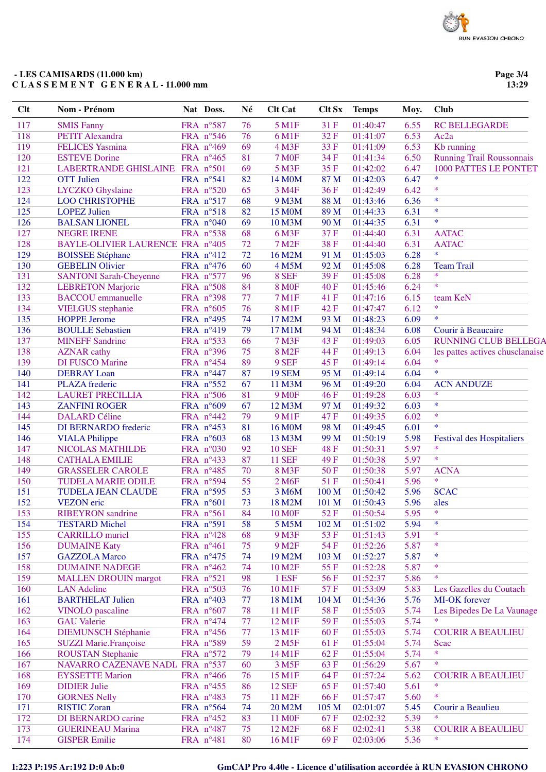## **- LES CAMISARDS (11.000 km) C L A S S E M E N T G E N E R A L - 11.000 mm**

**Page 3/4 13:29**

| <b>Clt</b> | Nom - Prénom                     | Nat Doss.          | Né | <b>Clt Cat</b>      | <b>Clt Sx</b> | <b>Temps</b> | Moy. | <b>Club</b>                                |
|------------|----------------------------------|--------------------|----|---------------------|---------------|--------------|------|--------------------------------------------|
| 117        | <b>SMIS Fanny</b>                | FRA n°587          | 76 | 5 M1F               | 31 F          | 01:40:47     | 6.55 | <b>RC BELLEGARDE</b>                       |
| 118        | <b>PETIT Alexandra</b>           | FRA n°546          | 76 | 6 M1F               | 32F           | 01:41:07     | 6.53 | Ac <sub>2a</sub>                           |
| 119        | <b>FELICES</b> Yasmina           | FRA nº469          | 69 | 4 M3F               | 33F           | 01:41:09     | 6.53 | Kb running                                 |
| 120        | <b>ESTEVE Dorine</b>             | FRA n°465          | 81 | <b>7 MOF</b>        | 34 F          | 01:41:34     | 6.50 | <b>Running Trail Roussonnais</b>           |
| 121        | LABERTRANDE GHISLAINE FRA n°501  |                    | 69 | 5 M3F               | 35F           | 01:42:02     | 6.47 | 1000 PATTES LE PONTET                      |
| 122        | <b>OTT</b> Julien                | FRA nº541          | 82 | 14 M0M              | 87 M          | 01:42:03     | 6.47 | $\ast$                                     |
| 123        | LYCZKO Ghyslaine                 | FRA n°520          | 65 | 3 M4F               | 36F           | 01:42:49     | 6.42 | $\ast$                                     |
| 124        | <b>LOO CHRISTOPHE</b>            | FRA n°517          | 68 | 9 M3M               | 88 M          | 01:43:46     | 6.36 | $\ast$                                     |
| 125        | <b>LOPEZ Julien</b>              | FRA n°518          | 82 | 15 M0M              | 89 M          | 01:44:33     | 6.31 | $\ast$                                     |
| 126        | <b>BALSAN LIONEL</b>             | FRA $n°040$        | 69 | 10 M3M              | 90 M          | 01:44:35     | 6.31 | $\ast$                                     |
| 127        | <b>NEGRE IRENE</b>               | FRA n°538          | 68 | 6 M3F               | 37F           | 01:44:40     | 6.31 | <b>AATAC</b>                               |
| 128        | BAYLE-OLIVIER LAURENCE FRA n°405 |                    | 72 | 7 M <sub>2F</sub>   | 38F           | 01:44:40     | 6.31 | <b>AATAC</b>                               |
| 129        | <b>BOISSEE Stéphane</b>          | FRA n°412          | 72 | 16 M2M              | 91 M          | 01:45:03     | 6.28 | $\ast$                                     |
| 130        | <b>GEBELIN Olivier</b>           | FRA n°476          | 60 | 4 M5M               | 92 M          | 01:45:08     | 6.28 | <b>Team Trail</b>                          |
| 131        | <b>SANTONI Sarah-Cheyenne</b>    | FRA n°577          | 96 | 8 SEF               | 39F           | 01:45:08     | 6.28 | $\ast$                                     |
| 132        | <b>LEBRETON Marjorie</b>         | FRA n°508          | 84 | <b>8 MOF</b>        | 40F           | 01:45:46     | 6.24 | $\ast$                                     |
| 133        | <b>BACCOU</b> emmanuelle         | FRA n°398          | 77 | <b>7 M1F</b>        | 41 F          | 01:47:16     | 6.15 | team KeN                                   |
| 134        | <b>VIELGUS</b> stephanie         | FRA n°605          | 76 | <b>8 M1F</b>        | 42F           | 01:47:47     | 6.12 | $\ast$                                     |
| 135        | <b>HOPPE Jerome</b>              | FRA n°495          | 74 | 17 M2M              | 93 M          | 01:48:23     | 6.09 | $\ast$                                     |
| 136        | <b>BOULLE Sebastien</b>          | FRA n°419          | 79 | 17 M1M              | 94 M          | 01:48:34     | 6.08 | Courir à Beaucaire                         |
| 137        | <b>MINEFF Sandrine</b>           | FRA n°533          | 66 | <b>7 M3F</b>        | 43 F          | 01:49:03     | 6.05 | <b>RUNNING CLUB BELLEGA</b>                |
| 138        | <b>AZNAR</b> cathy               | FRA n°396          | 75 | 8 M <sub>2F</sub>   | 44 F          | 01:49:13     | 6.04 | les pattes actives chusclanaise            |
| 139        | <b>DI FUSCO Marine</b>           | FRA n°454          | 89 | 9 SEF               | 45F           | 01:49:14     | 6.04 | $\ast$                                     |
| 140        | <b>DEBRAY</b> Loan               | FRA n°447          | 87 | <b>19 SEM</b>       | 95 M          | 01:49:14     | 6.04 | $\ast$                                     |
| 141        | PLAZA frederic                   | FRA n°552          | 67 | 11 M3M              | 96 M          | 01:49:20     | 6.04 | <b>ACN ANDUZE</b>                          |
| 142        | <b>LAURET PRECILLIA</b>          | FRA n°506          | 81 | <b>9 M0F</b>        | 46F           | 01:49:28     | 6.03 | $\ast$                                     |
| 143        | <b>ZANFINI ROGER</b>             | FRA n°609          | 67 | 12 M3M              | 97 M          | 01:49:32     | 6.03 | $\ast$                                     |
| 144        | <b>DALARD Céline</b>             | FRA n°442          | 79 | 9 M1F               | 47F           | 01:49:35     | 6.02 | $\ast$                                     |
| 145        |                                  |                    | 81 |                     | 98 M          |              | 6.01 | $\ast$                                     |
|            | DI BERNARDO frederic             | FRA nº453          |    | 16 M0M              |               | 01:49:45     |      |                                            |
| 146        | <b>VIALA Philippe</b>            | FRA $n^{\circ}603$ | 68 | 13 M3M              | 99 M          | 01:50:19     | 5.98 | <b>Festival des Hospitaliers</b><br>$\ast$ |
| 147        | NICOLAS MATHILDE                 | FRA n°030          | 92 | <b>10 SEF</b>       | <b>48F</b>    | 01:50:31     | 5.97 | $\ast$                                     |
| 148        | <b>CATHALA EMILIE</b>            | FRA n°433          | 87 | <b>11 SEF</b>       | 49F           | 01:50:38     | 5.97 |                                            |
| 149        | <b>GRASSELER CAROLE</b>          | FRA n°485          | 70 | <b>8 M3F</b>        | 50F           | 01:50:38     | 5.97 | <b>ACNA</b><br>$\ast$                      |
| 150        | <b>TUDELA MARIE ODILE</b>        | FRA n°594          | 55 | 2 M <sub>6F</sub>   | 51F           | 01:50:41     | 5.96 |                                            |
| 151        | <b>TUDELA JEAN CLAUDE</b>        | FRA nº595          | 53 | 3 M6M               | 100 M         | 01:50:42     | 5.96 | <b>SCAC</b>                                |
| 152        | <b>VEZON</b> eric                | FRA n°601          | 73 | 18 M2M              | 101 M         | 01:50:43     | 5.96 | ales                                       |
| 153        | <b>RIBEYRON</b> sandrine         | FRA n°561          | 84 | <b>10 M0F</b>       | 52F           | 01:50:54     | 5.95 | *                                          |
| 154        | <b>TESTARD Michel</b>            | FRA n°591          | 58 | 5 M5M               | 102 M         | 01:51:02     | 5.94 | $\ast$                                     |
| 155        | <b>CARRILLO</b> muriel           | FRA n°428          | 68 | 9 M3F               | 53 F          | 01:51:43     | 5.91 | $\ast$                                     |
| 156        | <b>DUMAINE Katy</b>              | FRA n°461          | 75 | 9 M <sub>2</sub> F  | 54 F          | 01:52:26     | 5.87 | *                                          |
| 157        | <b>GAZZOLA</b> Marco             | FRA n°475          | 74 | 19 M2M              | 103 M         | 01:52:27     | 5.87 | *                                          |
| 158        | <b>DUMAINE NADEGE</b>            | FRA n°462          | 74 | 10 M <sub>2</sub> F | 55 F          | 01:52:28     | 5.87 | *                                          |
| 159        | <b>MALLEN DROUIN margot</b>      | FRA n°521          | 98 | 1 ESF               | 56 F          | 01:52:37     | 5.86 | $\ast$                                     |
| 160        | <b>LAN</b> Adeline               | FRA n°503          | 76 | 10 M1F              | 57F           | 01:53:09     | 5.83 | Les Gazelles du Coutach                    |
| 161        | <b>BARTHELAT Julien</b>          | FRA n°403          | 77 | 18 M1M              | 104 M         | 01:54:36     | 5.76 | MI-OK forever                              |
| 162        | <b>VINOLO</b> pascaline          | FRA n°607          | 78 | 11 M1F              | 58F           | 01:55:03     | 5.74 | Les Bipedes De La Vaunage                  |
| 163        | <b>GAU</b> Valerie               | FRA n°474          | 77 | 12 M1F              | 59F           | 01:55:03     | 5.74 | $\ast$                                     |
| 164        | <b>DIEMUNSCH Stéphanie</b>       | FRA $n^{\circ}456$ | 77 | 13 M1F              | 60F           | 01:55:03     | 5.74 | <b>COURIR A BEAULIEU</b>                   |
| 165        | <b>SUZZI Marie.Françoise</b>     | FRA n°589          | 59 | 2 M <sub>5F</sub>   | 61 F          | 01:55:04     | 5.74 | Scac                                       |
| 166        | <b>ROUSTAN Stephanie</b>         | FRA n°572          | 79 | 14 M1F              | 62F           | 01:55:04     | 5.74 | $\ast$                                     |
| 167        | NAVARRO CAZENAVE NADL FRA nº537  |                    | 60 | 3 M <sub>5</sub> F  | 63F           | 01:56:29     | 5.67 | $\ast$                                     |
| 168        | <b>EYSSETTE Marion</b>           | FRA n°466          | 76 | 15 M1F              | 64 F          | 01:57:24     | 5.62 | <b>COURIR A BEAULIEU</b>                   |
| 169        | <b>DIDIER Julie</b>              | FRA n°455          | 86 | <b>12 SEF</b>       | 65 F          | 01:57:40     | 5.61 | *                                          |
| 170        | <b>GORNES Nelly</b>              | FRA n°483          | 75 | 11 M <sub>2</sub> F | 66 F          | 01:57:47     | 5.60 | *                                          |
| 171        | <b>RISTIC Zoran</b>              | FRA n°564          | 74 | 20 M2M              | 105 M         | 02:01:07     | 5.45 | Courir a Beaulieu                          |
| 172        | DI BERNARDO carine               | FRA n°452          | 83 | 11 M <sub>OF</sub>  | 67F           | 02:02:32     | 5.39 | $\ast$                                     |
| 173        | <b>GUERINEAU Marina</b>          | FRA n°487          | 75 | 12 M <sub>2</sub> F | 68F           | 02:02:41     | 5.38 | <b>COURIR A BEAULIEU</b>                   |
| 174        | <b>GISPER Emilie</b>             | FRA n°481          | 80 | 16 M1F              | 69F           | 02:03:06     | 5.36 | ∗                                          |
|            |                                  |                    |    |                     |               |              |      |                                            |

# **I:223 P:195 Ar:192 D:0 Ab:0 GmCAP Pro 4.40e - Licence d'utilisation accordée à RUN EVASION CHRONO**